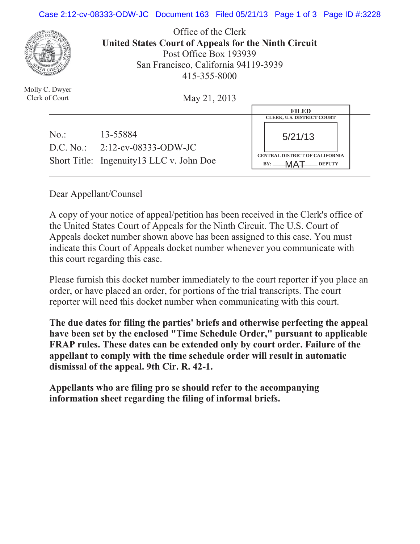## Case 2:12-cv-08333-ODW-JC Document 163 Filed 05/21/13 Page 1 of 3 Page ID #:3228



Molly C. Dwyer Clerk of Court

Office of the Clerk **United States Court of Appeals for the Ninth Circuit**  Post Office Box 193939 San Francisco, California 94119-3939 415-355-8000

May 21, 2013

|     |                                          | <b>FILED</b>                          |
|-----|------------------------------------------|---------------------------------------|
|     |                                          | <b>CLERK, U.S. DISTRICT COURT</b>     |
| No: | 13-55884                                 | 5/21/13                               |
|     | D.C. No.: $2:12$ -cv-08333-ODW-JC        | <b>CENTRAL DISTRICT OF CALIFORNIA</b> |
|     | Short Title: Ingenuity13 LLC v. John Doe | <b>DEPUTY</b><br>BY:                  |

Dear Appellant/Counsel

A copy of your notice of appeal/petition has been received in the Clerk's office of the United States Court of Appeals for the Ninth Circuit. The U.S. Court of Appeals docket number shown above has been assigned to this case. You must indicate this Court of Appeals docket number whenever you communicate with this court regarding this case.

Please furnish this docket number immediately to the court reporter if you place an order, or have placed an order, for portions of the trial transcripts. The court reporter will need this docket number when communicating with this court.

**The due dates for filing the parties' briefs and otherwise perfecting the appeal have been set by the enclosed "Time Schedule Order," pursuant to applicable FRAP rules. These dates can be extended only by court order. Failure of the appellant to comply with the time schedule order will result in automatic dismissal of the appeal. 9th Cir. R. 42-1.**

**Appellants who are filing pro se should refer to the accompanying information sheet regarding the filing of informal briefs.**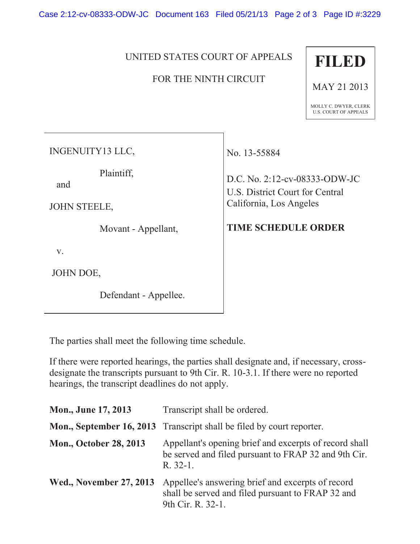Case 2:12-cv-08333-ODW-JC Document 163 Filed 05/21/13 Page 2 of 3 Page ID #:3229

## UNITED STATES COURT OF APPEALS

## FOR THE NINTH CIRCUIT



MAY 21 2013

MOLLY C. DWYER, CLERK U.S. COURT OF APPEALS

INGENUITY13 LLC,

Plaintiff,

and

JOHN STEELE,

Movant - Appellant,

v.

JOHN DOE,

Defendant - Appellee.

No. 13-55884

D.C. No. 2:12-cv-08333-ODW-JC U.S. District Court for Central California, Los Angeles

## **TIME SCHEDULE ORDER**

The parties shall meet the following time schedule.

If there were reported hearings, the parties shall designate and, if necessary, crossdesignate the transcripts pursuant to 9th Cir. R. 10-3.1. If there were no reported hearings, the transcript deadlines do not apply.

| Mon., June 17, 2013            | Transcript shall be ordered.                                                                                                |
|--------------------------------|-----------------------------------------------------------------------------------------------------------------------------|
|                                | Mon., September 16, 2013 Transcript shall be filed by court reporter.                                                       |
| <b>Mon., October 28, 2013</b>  | Appellant's opening brief and excerpts of record shall<br>be served and filed pursuant to FRAP 32 and 9th Cir.<br>$R.32-1.$ |
| <b>Wed., November 27, 2013</b> | Appellee's answering brief and excerpts of record<br>shall be served and filed pursuant to FRAP 32 and<br>9th Cir. R. 32-1. |